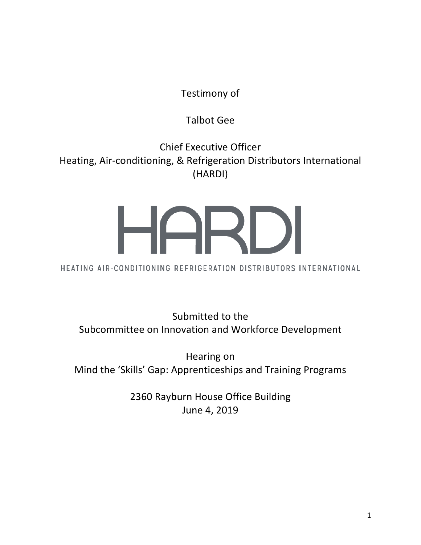Testimony of

# Talbot Gee

Chief Executive Officer Heating, Air-conditioning, & Refrigeration Distributors International (HARDI)

HEATING AIR-CONDITIONING REFRIGERATION DISTRIBUTORS INTERNATIONAL

Submitted to the Subcommittee on Innovation and Workforce Development

Hearing on Mind the 'Skills' Gap: Apprenticeships and Training Programs

> 2360 Rayburn House Office Building June 4, 2019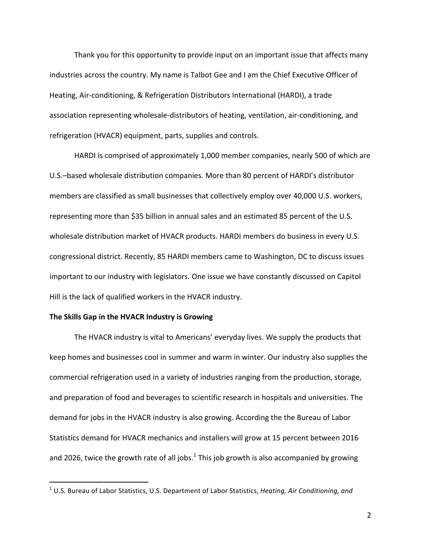Thank you for this opportunity to provide input on an important issue that affects many industries across the country. My name is Talbot Gee and I am the Chief Executive Officer of Heating, Air-conditioning, & Refrigeration Distributors International (HARDI), a trade association representing wholesale-distributors of heating, ventilation, air-conditioning, and refrigeration (HVACR) equipment, parts, supplies and controls.

HARDI is comprised of approximately 1,000 member companies, nearly 500 of which are U.S.–based wholesale distribution companies. More than 80 percent of HARDI's distributor members are classified as small businesses that collectively employ over 40,000 U.S. workers, representing more than \$35 billion in annual sales and an estimated 85 percent of the U.S. wholesale distribution market of HVACR products. HARDI members do business in every U.S. congressional district. Recently, 85 HARDI members came to Washington, DC to discuss issues important to our industry with legislators. One issue we have constantly discussed on Capitol Hill is the lack of qualified workers in the HVACR industry.

### The Skills Gap in the HVACR Industry is Growing

 

The HVACR industry is vital to Americans' everyday lives. We supply the products that keep homes and businesses cool in summer and warm in winter. Our industry also supplies the commercial refrigeration used in a variety of industries ranging from the production, storage, and preparation of food and beverages to scientific research in hospitals and universities. The demand for jobs in the HVACR industry is also growing. According the the Bureau of Labor Statistics demand for HVACR mechanics and installers will grow at 15 percent between 2016 and 2026, twice the growth rate of all jobs.<sup>1</sup> This job growth is also accompanied by growing

<sup>&</sup>lt;sup>1</sup> U.S. Bureau of Labor Statistics, U.S. Department of Labor Statistics, *Heating, Air Conditioning, and*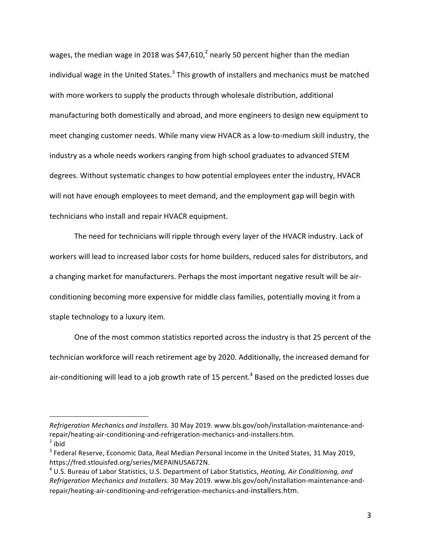wages, the median wage in 2018 was \$47,610,<sup>2</sup> nearly 50 percent higher than the median individual wage in the United States.<sup>3</sup> This growth of installers and mechanics must be matched with more workers to supply the products through wholesale distribution, additional manufacturing both domestically and abroad, and more engineers to design new equipment to meet changing customer needs. While many view HVACR as a low-to-medium skill industry, the industry as a whole needs workers ranging from high school graduates to advanced STEM degrees. Without systematic changes to how potential employees enter the industry, HVACR will not have enough employees to meet demand, and the employment gap will begin with technicians who install and repair HVACR equipment.

The need for technicians will ripple through every layer of the HVACR industry. Lack of workers will lead to increased labor costs for home builders, reduced sales for distributors, and a changing market for manufacturers. Perhaps the most important negative result will be airconditioning becoming more expensive for middle class families, potentially moving it from a staple technology to a luxury item.

One of the most common statistics reported across the industry is that 25 percent of the technician workforce will reach retirement age by 2020. Additionally, the increased demand for air-conditioning will lead to a job growth rate of 15 percent.<sup>4</sup> Based on the predicted losses due

*Refrigeration Mechanics and Installers.* 30 May 2019. www.bls.gov/ooh/installation-maintenance-andrepair/heating-air-conditioning-and-refrigeration-mechanics-and-installers.htm.  $2$  ibid

 $3$  Federal Reserve, Economic Data, Real Median Personal Income in the United States, 31 May 2019, https://fred.stlouisfed.org/series/MEPAINUSA672N.

<sup>&</sup>lt;sup>4</sup> U.S. Bureau of Labor Statistics, U.S. Department of Labor Statistics, *Heating, Air Conditioning, and Refrigeration Mechanics and Installers.* 30 May 2019. www.bls.gov/ooh/installation-maintenance-andrepair/heating-air-conditioning-and-refrigeration-mechanics-and-installers.htm.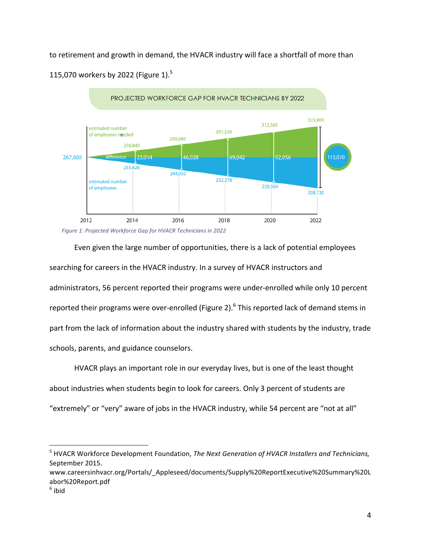to retirement and growth in demand, the HVACR industry will face a shortfall of more than 115,070 workers by 2022 (Figure 1). $5$ 



*Figure 1: Projected Workforce Gap for HVACR Technicians in 2022*

Even given the large number of opportunities, there is a lack of potential employees searching for careers in the HVACR industry. In a survey of HVACR instructors and administrators, 56 percent reported their programs were under-enrolled while only 10 percent reported their programs were over-enrolled (Figure 2).<sup>6</sup> This reported lack of demand stems in part from the lack of information about the industry shared with students by the industry, trade schools, parents, and guidance counselors.

HVACR plays an important role in our everyday lives, but is one of the least thought about industries when students begin to look for careers. Only 3 percent of students are "extremely" or "very" aware of jobs in the HVACR industry, while 54 percent are "not at all"

<sup>5</sup> HVACR Workforce Development Foundation, *The Next Generation of HVACR Installers and Technicians,* September 2015.

www.careersinhvacr.org/Portals/\_Appleseed/documents/Supply%20ReportExecutive%20Summary%20L abor%20Report.pdf

 $6$  ibid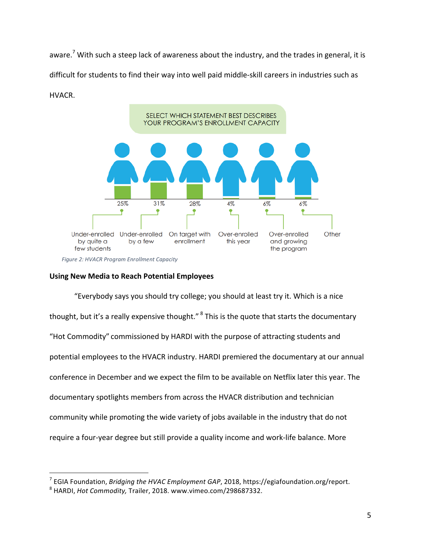aware.<sup>7</sup> With such a steep lack of awareness about the industry, and the trades in general, it is difficult for students to find their way into well paid middle-skill careers in industries such as HVACR. 



Figure 2: HVACR Program Enrollment Capacity

## **Using New Media to Reach Potential Employees**

"Everybody says you should try college; you should at least try it. Which is a nice thought, but it's a really expensive thought." <sup>8</sup> This is the quote that starts the documentary "Hot Commodity" commissioned by HARDI with the purpose of attracting students and potential employees to the HVACR industry. HARDI premiered the documentary at our annual conference in December and we expect the film to be available on Netflix later this year. The documentary spotlights members from across the HVACR distribution and technician community while promoting the wide variety of jobs available in the industry that do not require a four-year degree but still provide a quality income and work-life balance. More

<sup>&</sup>lt;sup>7</sup> EGIA Foundation, *Bridging the HVAC Employment GAP*, 2018, https://egiafoundation.org/report.

<sup>&</sup>lt;sup>8</sup> HARDI, *Hot Commodity*, Trailer, 2018. www.vimeo.com/298687332.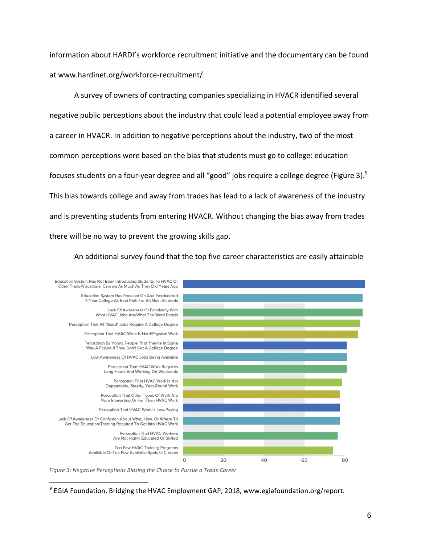information about HARDI's workforce recruitment initiative and the documentary can be found at www.hardinet.org/workforce-recruitment/.

A survey of owners of contracting companies specializing in HVACR identified several negative public perceptions about the industry that could lead a potential employee away from a career in HVACR. In addition to negative perceptions about the industry, two of the most common perceptions were based on the bias that students must go to college: education focuses students on a four-year degree and all "good" jobs require a college degree (Figure 3).<sup>9</sup> This bias towards college and away from trades has lead to a lack of awareness of the industry and is preventing students from entering HVACR. Without changing the bias away from trades there will be no way to prevent the growing skills gap.

An additional survey found that the top five career characteristics are easily attainable



*Figure 3: Negative Perceptions Biasing the Choice to Pursue a Trade Career* 

 $9$  EGIA Foundation, Bridging the HVAC Employment GAP, 2018, www.egiafoundation.org/report.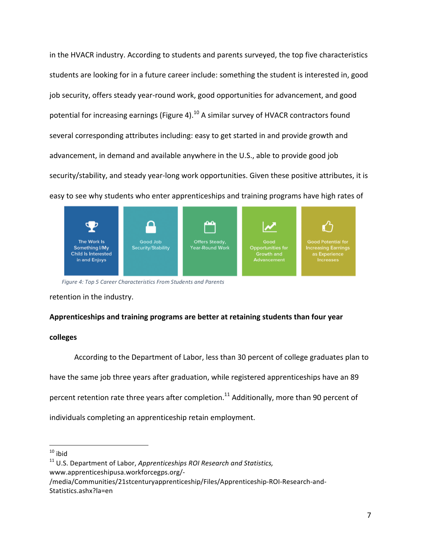in the HVACR industry. According to students and parents surveyed, the top five characteristics students are looking for in a future career include: something the student is interested in, good job security, offers steady year-round work, good opportunities for advancement, and good potential for increasing earnings (Figure 4).<sup>10</sup> A similar survey of HVACR contractors found several corresponding attributes including: easy to get started in and provide growth and advancement, in demand and available anywhere in the U.S., able to provide good job security/stability, and steady year-long work opportunities. Given these positive attributes, it is easy to see why students who enter apprenticeships and training programs have high rates of



Figure 4: Top 5 Career Characteristics From Students and Parents

retention in the industry.

#### Apprenticeships and training programs are better at retaining students than four year

#### **colleges**

According to the Department of Labor, less than 30 percent of college graduates plan to have the same job three years after graduation, while registered apprenticeships have an 89 percent retention rate three years after completion.<sup>11</sup> Additionally, more than 90 percent of individuals completing an apprenticeship retain employment.

  $10$  ibid

<sup>&</sup>lt;sup>11</sup> U.S. Department of Labor, Apprenticeships ROI Research and Statistics, www.apprenticeshipusa.workforcegps.org/-

<sup>/</sup>media/Communities/21stcenturyapprenticeship/Files/Apprenticeship-ROI-Research-and-Statistics.ashx?la=en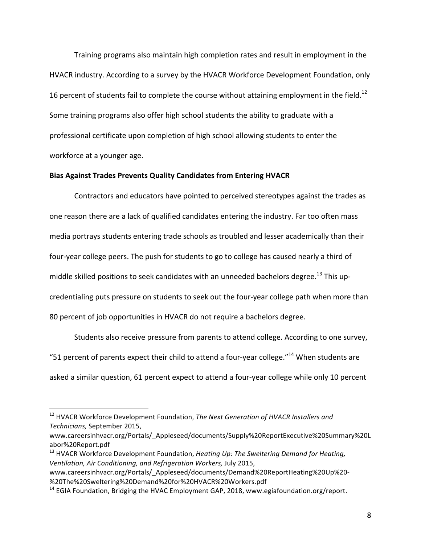Training programs also maintain high completion rates and result in employment in the HVACR industry. According to a survey by the HVACR Workforce Development Foundation, only 16 percent of students fail to complete the course without attaining employment in the field.<sup>12</sup> Some training programs also offer high school students the ability to graduate with a professional certificate upon completion of high school allowing students to enter the workforce at a younger age.

#### **Bias Against Trades Prevents Quality Candidates from Entering HVACR**

Contractors and educators have pointed to perceived stereotypes against the trades as one reason there are a lack of qualified candidates entering the industry. Far too often mass media portrays students entering trade schools as troubled and lesser academically than their four-year college peers. The push for students to go to college has caused nearly a third of middle skilled positions to seek candidates with an unneeded bachelors degree.<sup>13</sup> This upcredentialing puts pressure on students to seek out the four-year college path when more than 80 percent of job opportunities in HVACR do not require a bachelors degree.

Students also receive pressure from parents to attend college. According to one survey, "51 percent of parents expect their child to attend a four-year college."<sup>14</sup> When students are asked a similar question, 61 percent expect to attend a four-year college while only 10 percent

<sup>&</sup>lt;sup>12</sup> HVACR Workforce Development Foundation, *The Next Generation of HVACR Installers and Technicians,* September 2015, 

www.careersinhvacr.org/Portals/\_Appleseed/documents/Supply%20ReportExecutive%20Summary%20L abor%20Report.pdf

<sup>&</sup>lt;sup>13</sup> HVACR Workforce Development Foundation, *Heating Up: The Sweltering Demand for Heating, Ventilation, Air Conditioning, and Refrigeration Workers, July 2015,* 

www.careersinhvacr.org/Portals/\_Appleseed/documents/Demand%20ReportHeating%20Up%20- %20The%20Sweltering%20Demand%20for%20HVACR%20Workers.pdf

 $14$  EGIA Foundation, Bridging the HVAC Employment GAP, 2018, www.egiafoundation.org/report.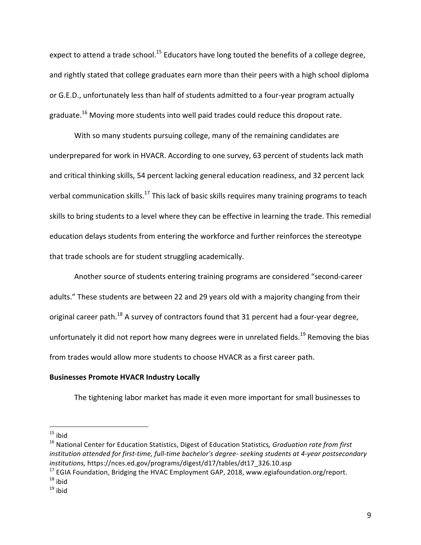expect to attend a trade school.<sup>15</sup> Educators have long touted the benefits of a college degree, and rightly stated that college graduates earn more than their peers with a high school diploma or G.E.D., unfortunately less than half of students admitted to a four-year program actually graduate.<sup>16</sup> Moving more students into well paid trades could reduce this dropout rate.

With so many students pursuing college, many of the remaining candidates are underprepared for work in HVACR. According to one survey, 63 percent of students lack math and critical thinking skills, 54 percent lacking general education readiness, and 32 percent lack verbal communication skills.<sup>17</sup> This lack of basic skills requires many training programs to teach skills to bring students to a level where they can be effective in learning the trade. This remedial education delays students from entering the workforce and further reinforces the stereotype that trade schools are for student struggling academically.

Another source of students entering training programs are considered "second-career adults." These students are between 22 and 29 years old with a majority changing from their original career path.<sup>18</sup> A survey of contractors found that 31 percent had a four-year degree, unfortunately it did not report how many degrees were in unrelated fields.<sup>19</sup> Removing the bias from trades would allow more students to choose HVACR as a first career path.

### **Businesses Promote HVACR Industry Locally**

 

The tightening labor market has made it even more important for small businesses to

 $15$  ibid

<sup>&</sup>lt;sup>16</sup> National Center for Education Statistics, Digest of Education Statistics, Graduation rate from first *institution* attended for first-time, full-time bachelor's degree- seeking students at 4-year postsecondary *institutions,* https://nces.ed.gov/programs/digest/d17/tables/dt17\_326.10.asp

 $17$  EGIA Foundation, Bridging the HVAC Employment GAP, 2018, www.egiafoundation.org/report.

 $18$  ibid

 $19$  ibid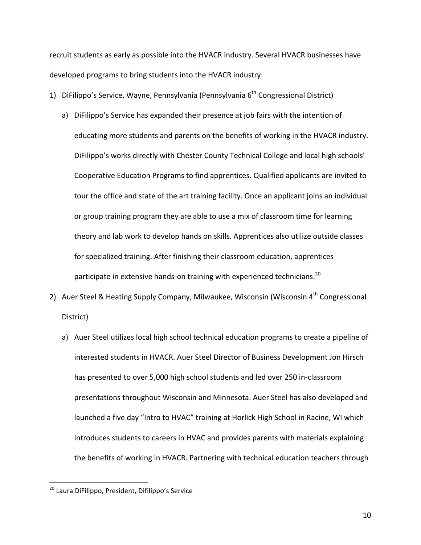recruit students as early as possible into the HVACR industry. Several HVACR businesses have developed programs to bring students into the HVACR industry:

- 1) DiFilippo's Service, Wayne, Pennsylvania (Pennsylvania 6<sup>th</sup> Congressional District)
	- a) Difilippo's Service has expanded their presence at job fairs with the intention of educating more students and parents on the benefits of working in the HVACR industry. DiFilippo's works directly with Chester County Technical College and local high schools' Cooperative Education Programs to find apprentices. Qualified applicants are invited to tour the office and state of the art training facility. Once an applicant joins an individual or group training program they are able to use a mix of classroom time for learning theory and lab work to develop hands on skills. Apprentices also utilize outside classes for specialized training. After finishing their classroom education, apprentices participate in extensive hands-on training with experienced technicians.<sup>20</sup>
- 2) Auer Steel & Heating Supply Company, Milwaukee, Wisconsin (Wisconsin 4<sup>th</sup> Congressional District)
	- a) Auer Steel utilizes local high school technical education programs to create a pipeline of interested students in HVACR. Auer Steel Director of Business Development Jon Hirsch has presented to over 5,000 high school students and led over 250 in-classroom presentations throughout Wisconsin and Minnesota. Auer Steel has also developed and launched a five day "Intro to HVAC" training at Horlick High School in Racine, WI which introduces students to careers in HVAC and provides parents with materials explaining the benefits of working in HVACR. Partnering with technical education teachers through

<sup>&</sup>lt;sup>20</sup> Laura DiFilippo, President, Difilippo's Service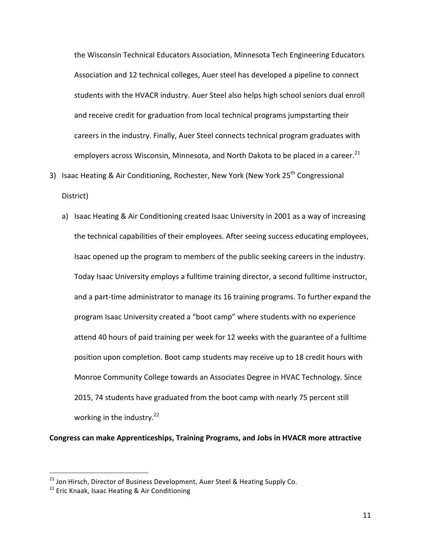the Wisconsin Technical Educators Association, Minnesota Tech Engineering Educators Association and 12 technical colleges, Auer steel has developed a pipeline to connect students with the HVACR industry. Auer Steel also helps high school seniors dual enroll and receive credit for graduation from local technical programs jumpstarting their careers in the industry. Finally, Auer Steel connects technical program graduates with employers across Wisconsin, Minnesota, and North Dakota to be placed in a career.<sup>21</sup>

3) Isaac Heating & Air Conditioning, Rochester, New York (New York 25<sup>th</sup> Congressional District)

a) Isaac Heating & Air Conditioning created Isaac University in 2001 as a way of increasing the technical capabilities of their employees. After seeing success educating employees, Isaac opened up the program to members of the public seeking careers in the industry. Today Isaac University employs a fulltime training director, a second fulltime instructor, and a part-time administrator to manage its 16 training programs. To further expand the program Isaac University created a "boot camp" where students with no experience attend 40 hours of paid training per week for 12 weeks with the guarantee of a fulltime position upon completion. Boot camp students may receive up to 18 credit hours with Monroe Community College towards an Associates Degree in HVAC Technology. Since 2015, 74 students have graduated from the boot camp with nearly 75 percent still working in the industry.<sup>22</sup>

**Congress can make Apprenticeships, Training Programs, and Jobs in HVACR more attractive** 

 $^{21}$  Jon Hirsch, Director of Business Development, Auer Steel & Heating Supply Co.

 $22$  Eric Knaak, Isaac Heating & Air Conditioning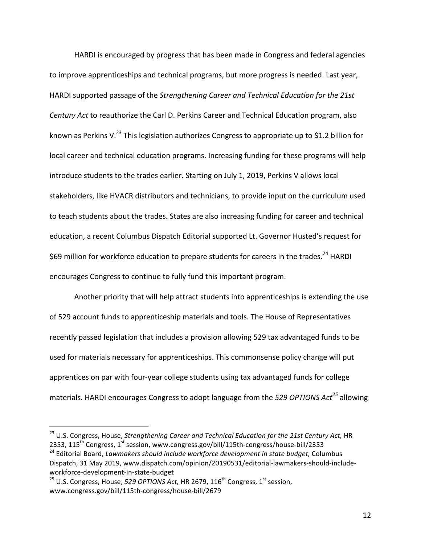HARDI is encouraged by progress that has been made in Congress and federal agencies to improve apprenticeships and technical programs, but more progress is needed. Last year, HARDI supported passage of the Strengthening Career and Technical Education for the 21st *Century Act* to reauthorize the Carl D. Perkins Career and Technical Education program, also known as Perkins V.<sup>23</sup> This legislation authorizes Congress to appropriate up to \$1.2 billion for local career and technical education programs. Increasing funding for these programs will help introduce students to the trades earlier. Starting on July 1, 2019, Perkins V allows local stakeholders, like HVACR distributors and technicians, to provide input on the curriculum used to teach students about the trades. States are also increasing funding for career and technical education, a recent Columbus Dispatch Editorial supported Lt. Governor Husted's request for \$69 million for workforce education to prepare students for careers in the trades.<sup>24</sup> HARDI encourages Congress to continue to fully fund this important program.

Another priority that will help attract students into apprenticeships is extending the use of 529 account funds to apprenticeship materials and tools. The House of Representatives recently passed legislation that includes a provision allowing 529 tax advantaged funds to be used for materials necessary for apprenticeships. This commonsense policy change will put apprentices on par with four-year college students using tax advantaged funds for college materials. HARDI encourages Congress to adopt language from the 529 OPTIONS Act<sup>25</sup> allowing

<sup>&</sup>lt;sup>23</sup> U.S. Congress, House, Strengthening Career and Technical Education for the 21st Century Act, HR 2353,  $115^{th}$  Congress,  $1^{st}$  session, www.congress.gov/bill/115th-congress/house-bill/2353 <sup>24</sup> Editorial Board, *Lawmakers should include workforce development in state budget, Columbus* 

Dispatch, 31 May 2019, www.dispatch.com/opinion/20190531/editorial-lawmakers-should-includeworkforce-development-in-state-budget

<sup>&</sup>lt;sup>25</sup> U.S. Congress, House, 529 OPTIONS Act, HR 2679, 116<sup>th</sup> Congress, 1<sup>st</sup> session, www.congress.gov/bill/115th-congress/house-bill/2679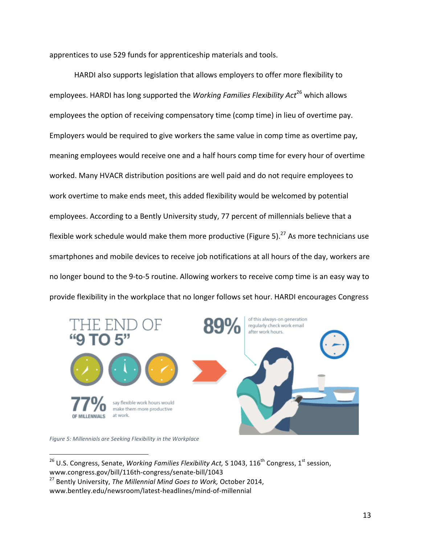apprentices to use 529 funds for apprenticeship materials and tools.

HARDI also supports legislation that allows employers to offer more flexibility to employees. HARDI has long supported the *Working Families Flexibility Act*<sup>26</sup> which allows employees the option of receiving compensatory time (comp time) in lieu of overtime pay. Employers would be required to give workers the same value in comp time as overtime pay, meaning employees would receive one and a half hours comp time for every hour of overtime worked. Many HVACR distribution positions are well paid and do not require employees to work overtime to make ends meet, this added flexibility would be welcomed by potential employees. According to a Bently University study, 77 percent of millennials believe that a flexible work schedule would make them more productive (Figure 5).<sup>27</sup> As more technicians use smartphones and mobile devices to receive job notifications at all hours of the day, workers are no longer bound to the 9-to-5 routine. Allowing workers to receive comp time is an easy way to provide flexibility in the workplace that no longer follows set hour. HARDI encourages Congress



*Figure 5: Millennials are Seeking Flexibility in the Workplace*

<sup>&</sup>lt;sup>26</sup> U.S. Congress, Senate, *Working Families Flexibility Act*, S 1043, 116<sup>th</sup> Congress, 1<sup>st</sup> session, www.congress.gov/bill/116th-congress/senate-bill/1043

<sup>&</sup>lt;sup>27</sup> Bently University, *The Millennial Mind Goes to Work, October 2014*, www.bentley.edu/newsroom/latest-headlines/mind-of-millennial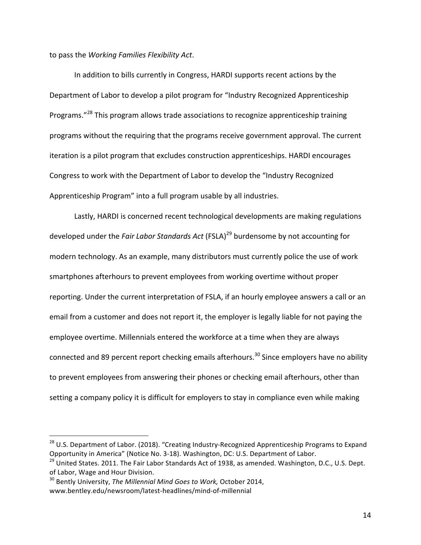to pass the *Working Families Flexibility Act*.

In addition to bills currently in Congress, HARDI supports recent actions by the Department of Labor to develop a pilot program for "Industry Recognized Apprenticeship Programs."<sup>28</sup> This program allows trade associations to recognize apprenticeship training programs without the requiring that the programs receive government approval. The current iteration is a pilot program that excludes construction apprenticeships. HARDI encourages Congress to work with the Department of Labor to develop the "Industry Recognized Apprenticeship Program" into a full program usable by all industries.

Lastly, HARDI is concerned recent technological developments are making regulations developed under the *Fair Labor Standards Act* (FSLA)<sup>29</sup> burdensome by not accounting for modern technology. As an example, many distributors must currently police the use of work smartphones afterhours to prevent employees from working overtime without proper reporting. Under the current interpretation of FSLA, if an hourly employee answers a call or an email from a customer and does not report it, the employer is legally liable for not paying the employee overtime. Millennials entered the workforce at a time when they are always connected and 89 percent report checking emails afterhours.<sup>30</sup> Since employers have no ability to prevent employees from answering their phones or checking email afterhours, other than setting a company policy it is difficult for employers to stay in compliance even while making

 $28$  U.S. Department of Labor. (2018). "Creating Industry-Recognized Apprenticeship Programs to Expand Opportunity in America" (Notice No. 3-18). Washington, DC: U.S. Department of Labor.

<sup>&</sup>lt;sup>29</sup> United States. 2011. The Fair Labor Standards Act of 1938, as amended. Washington, D.C., U.S. Dept. of Labor, Wage and Hour Division.

<sup>&</sup>lt;sup>30</sup> Bently University, *The Millennial Mind Goes to Work*, October 2014, www.bentley.edu/newsroom/latest-headlines/mind-of-millennial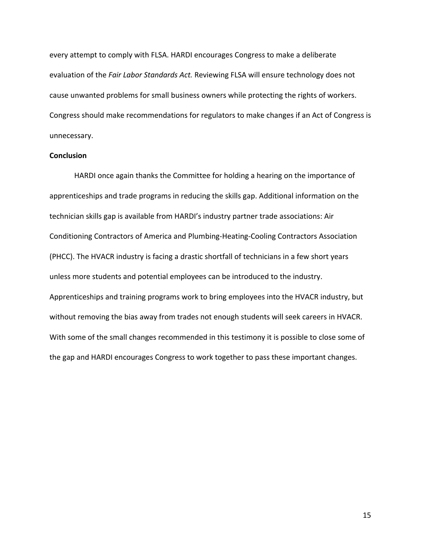every attempt to comply with FLSA. HARDI encourages Congress to make a deliberate evaluation of the *Fair Labor Standards Act.* Reviewing FLSA will ensure technology does not cause unwanted problems for small business owners while protecting the rights of workers. Congress should make recommendations for regulators to make changes if an Act of Congress is unnecessary.

#### **Conclusion**

HARDI once again thanks the Committee for holding a hearing on the importance of apprenticeships and trade programs in reducing the skills gap. Additional information on the technician skills gap is available from HARDI's industry partner trade associations: Air Conditioning Contractors of America and Plumbing-Heating-Cooling Contractors Association (PHCC). The HVACR industry is facing a drastic shortfall of technicians in a few short years unless more students and potential employees can be introduced to the industry. Apprenticeships and training programs work to bring employees into the HVACR industry, but without removing the bias away from trades not enough students will seek careers in HVACR. With some of the small changes recommended in this testimony it is possible to close some of the gap and HARDI encourages Congress to work together to pass these important changes.